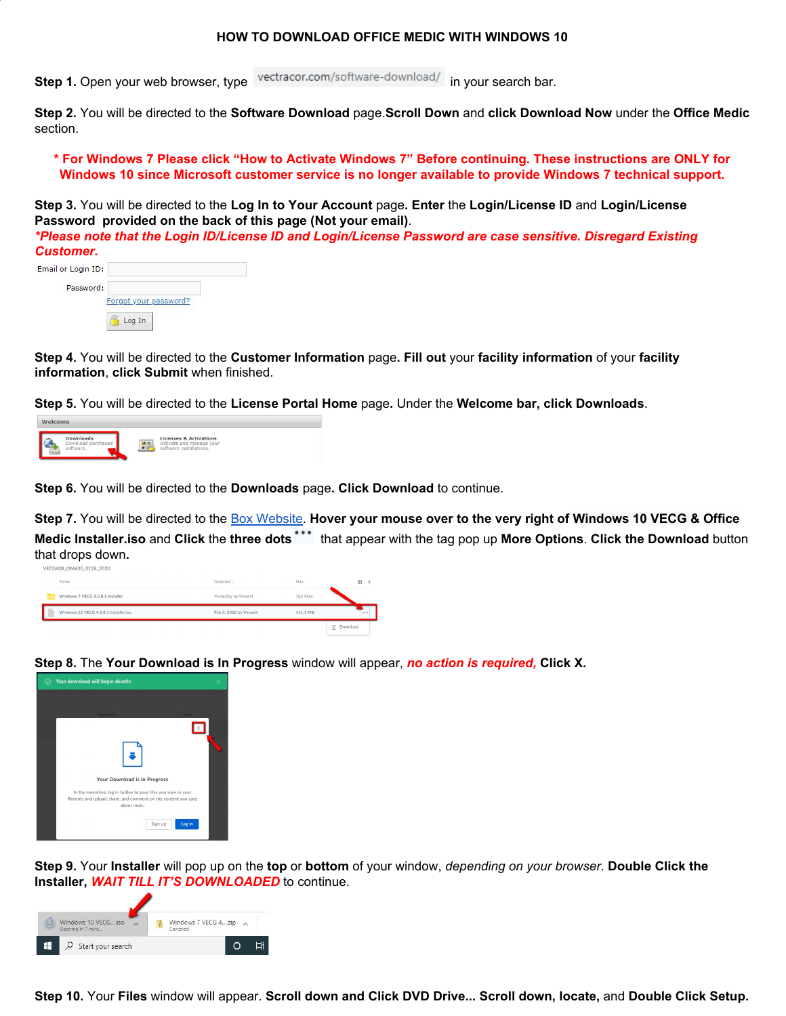# **HOW TO DOWNLOAD OFFICE MEDIC WITH WINDOWS 10**

**Step 1.** Open your web browser, type vectracor.com/software-download/ in your search bar.

**Step 2.** You will be directed to the **Software Download** page.**Scroll Down** and **click Download Now** under the **Office Medic** section.

\* For Windows 7 Please click "How to Activate Windows 7" Before continuing. These instructions are ONLY for **Windows 10 since Microsoft customer service is no longer available to provide Windows 7 technical support.**

**Step 3.** You will be directed to the **Log In to Your Account** page**. Enter** the **Login/License ID** and **Login/License Password provided on the back of this page (Not your email)**.

*\*Please note that the Login ID/License ID and Login/License Password are case sensitive. Disregard Existing Customer.*

| Email or Login ID: |                       |
|--------------------|-----------------------|
| Password:          |                       |
|                    | Forgot your password? |
|                    | Log In                |

**Step 4.** You will be directed to the **Customer Information** page**. Fill out** your **facility information** of your **facility information**, **click Submit** when finished.

**Step 5.** You will be directed to the **License Portal Home** page**.** Under the **Welcome bar, click Downloads**.



**Step 6.** You will be directed to the **Downloads** page**. Click Download** to continue.

Step 7. You will be directed to the Box [Website.](https://app.box.com/s/a9c3an5my3z1vqnob1567yw59xwrtiua?LicenseID=64560983) Hover your mouse over to the very right of Windows 10 VECG & Office **Medic Installer.iso** and **Click** the **three dots** that appear with the tag pop up **More Options**. **Click the Download** button that drops down**.** VECG408\_OM605\_0128\_2020

| Name<br>Updated<br>Size<br><b>HE</b><br>Windows 7 VECG 4.0.8.1 Installer<br>162 Files<br>Yesterday by Vincent<br>Windows 10 VECG 4.0.8.1 Installer.iso<br>Feb 3, 2020 by Vincent<br>411.5 MB |  |  | $\mathfrak{S}$<br>Download |
|----------------------------------------------------------------------------------------------------------------------------------------------------------------------------------------------|--|--|----------------------------|
|                                                                                                                                                                                              |  |  | 1.11                       |
|                                                                                                                                                                                              |  |  |                            |
|                                                                                                                                                                                              |  |  |                            |

**Step 8.** The **Your Download is In Progress** window will appear, *no action is required,* **Click X.**



**Step 9.** Your **Installer** will pop up on the **top** or **bottom** of your window, *depending on your browser*. **Double Click the Installer,** *WAIT TILL IT'S DOWNLOADED* to continue.



**Step 10.** Your **Files** window will appear. **Scroll down and Click DVD Drive... Scroll down, locate,** and **Double Click Setup.**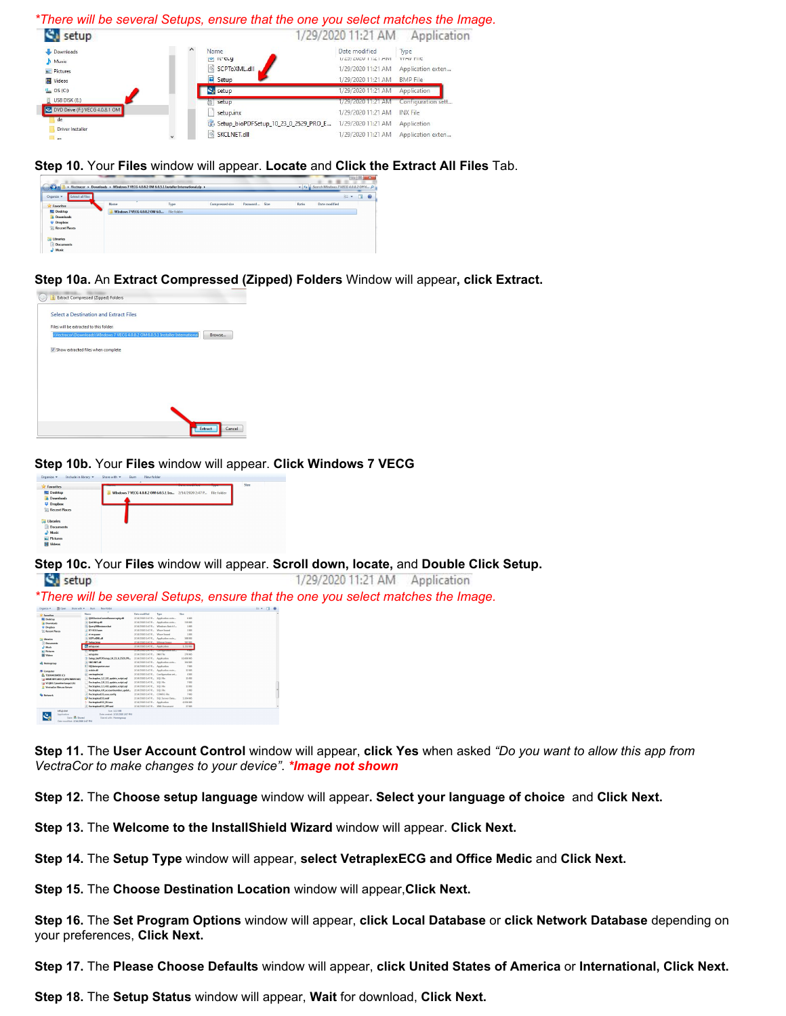#### *\*There will be several Setups, ensure that the one you select matches the Image.*



## **Step 10.** Your **Files** window will appear. **Locate** and **Click the Extract All Files** Tab.



# **Step 10a.** An **Extract Compressed (Zipped) Folders** Window will appear**, click Extract.**

| Extract Compressed (Zipped) Folders<br>3b                                                |
|------------------------------------------------------------------------------------------|
| <b>Select a Destination and Extract Files</b>                                            |
| Files will be extracted to this folder:                                                  |
| SWectracor\Downloads\WIndows 7 VECG 4.0.8.2 OM 6.0.5.1 Installer International<br>Browse |
| V Show extracted files when complete                                                     |
|                                                                                          |
|                                                                                          |
|                                                                                          |
|                                                                                          |
| Cancel<br>Extract                                                                        |

### **Step 10b.** Your **Files** window will appear. **Click Windows 7 VECG**



 $\mathfrak{S}_4$ 

**Step 10c.** Your **Files** window will appear. **Scroll down, locate,** and **Double Click Setup.**

| setup                                                                                                                                                                         |                                                                                                                                                                                                                |                                                                                                                                                        |                                                                                                                                                                  |                                                                                          |            |  | 1/29/2020 11:21 AM | Application |  |
|-------------------------------------------------------------------------------------------------------------------------------------------------------------------------------|----------------------------------------------------------------------------------------------------------------------------------------------------------------------------------------------------------------|--------------------------------------------------------------------------------------------------------------------------------------------------------|------------------------------------------------------------------------------------------------------------------------------------------------------------------|------------------------------------------------------------------------------------------|------------|--|--------------------|-------------|--|
|                                                                                                                                                                               | *There will be several Setups, ensure that the one you select matches the Image.                                                                                                                               |                                                                                                                                                        |                                                                                                                                                                  |                                                                                          |            |  |                    |             |  |
| <b>Bit Com</b><br>Caganize .                                                                                                                                                  | New folder<br>Statutt + But                                                                                                                                                                                    |                                                                                                                                                        |                                                                                                                                                                  |                                                                                          | $13 - 110$ |  |                    |             |  |
| <b>St Tayottes</b><br><b>ILI</b> Deditor<br><b>B. Deweloads</b><br>U Drasbew<br><b>El Recent Places</b><br><b>The Ulbraniers</b><br><b>Cheements</b><br>A Made<br>El Pictures | Name.<br>C ORSDANICACameRospearceats.dl<br>CONTROLLER<br><b>QuenClinstance.bot</b><br><b>ILT-ECGLines</b><br>J. IS COMPY<br><b>SCELLORUM</b><br><b>C. Setunbens</b><br>C. setup.com<br><b>NUMBER OF STREET</b> | Date modified<br>2/14/2020 2:47 P.J. Wave Sound<br>2/14/2020 2:47 P., Ways Sound<br>2/14/2020 2:47 P.L. Eliman Image<br>2/14/2020 2:47 P., Application | Type<br>2/14/2020 2:47 P., Application exte<br>2/14/2020 2:47 P., Andication rate<br>2/14/2020 2:47 P.L. Windows Ratch E.,<br>2/14/2020 2:47 P., Andication exte | Sire<br>6.921<br>319 KB<br>188<br>3 KB<br>1 <sub>1</sub><br>SRR KB<br>587.88<br>1,152 KB |            |  |                    |             |  |
| <b>H</b> Wales<br>ol Homegroup                                                                                                                                                | <b>Sylva</b> ing<br>Setup.blof DFSetup. 10.23.0.2529.FK<br><b>ENTIMERS</b><br>* SOLlaborgestor.com                                                                                                             | 2/14/2020 2:42 P.L. INX File<br>2/14/2020 2:47 P., Application<br>2/14/2020 2:47 P., Application                                                       | 2/14/2020 2:47 P., Application exte                                                                                                                              | 220 Kill<br>10,660 KB<br>264 KB<br>7.83                                                  |            |  |                    |             |  |
| <b>N</b> Computer<br><b>E. 11106401W9D (C)</b><br><b>G MINORNIARD OUTSONERS360</b><br>Sa VCORS Manatherhanood (Zd<br><b>VectorCor Fibre on Server</b>                         | Codebuilt<br>vectraplex.ini<br>Vectoplex 1.2 2.8 update script.sol<br>Vectoples 2.0 1.1 update scriptual<br>Vectories 3.1 4.0 undate scriptual                                                                 | 2/14/2020 2:47 P.J. SQL FBo<br>2/14/2020 2:47 P., SOL File<br>2/14/2020 2:47 P., SOL File                                                              | 2/14/2020 2:47 P., Andication exte<br>2/14/2020 2:47 P., Configuration set.,                                                                                     | 32.838<br>4.8%<br>15 KB<br>7.88<br>13 KB                                                 |            |  |                    |             |  |

**Step 11.** The **User Account Control** window will appear, **click Yes** when asked *"Do you want to allow this app from VectraCor to make changes to your device"*. *\*Image not shown*

**Step 12.** The **Choose setup language** window will appear**. Select your language of choice** and **Click Next.**

**Step 13.** The **Welcome to the InstallShield Wizard** window will appear. **Click Next.**

**Step 14.** The **Setup Type** window will appear, **select VetraplexECG and Office Medic** and **Click Next.**

**Step 15.** The **Choose Destination Location** window will appear,**Click Next.**

**Step 16.** The **Set Program Options** window will appear, **click Local Database** or **click Network Database** depending on your preferences, **Click Next.**

**Step 17.** The **Please Choose Defaults** window will appear, **click United States of America** or **International, Click Next.**

**Step 18.** The **Setup Status** window will appear, **Wait** for download, **Click Next.**